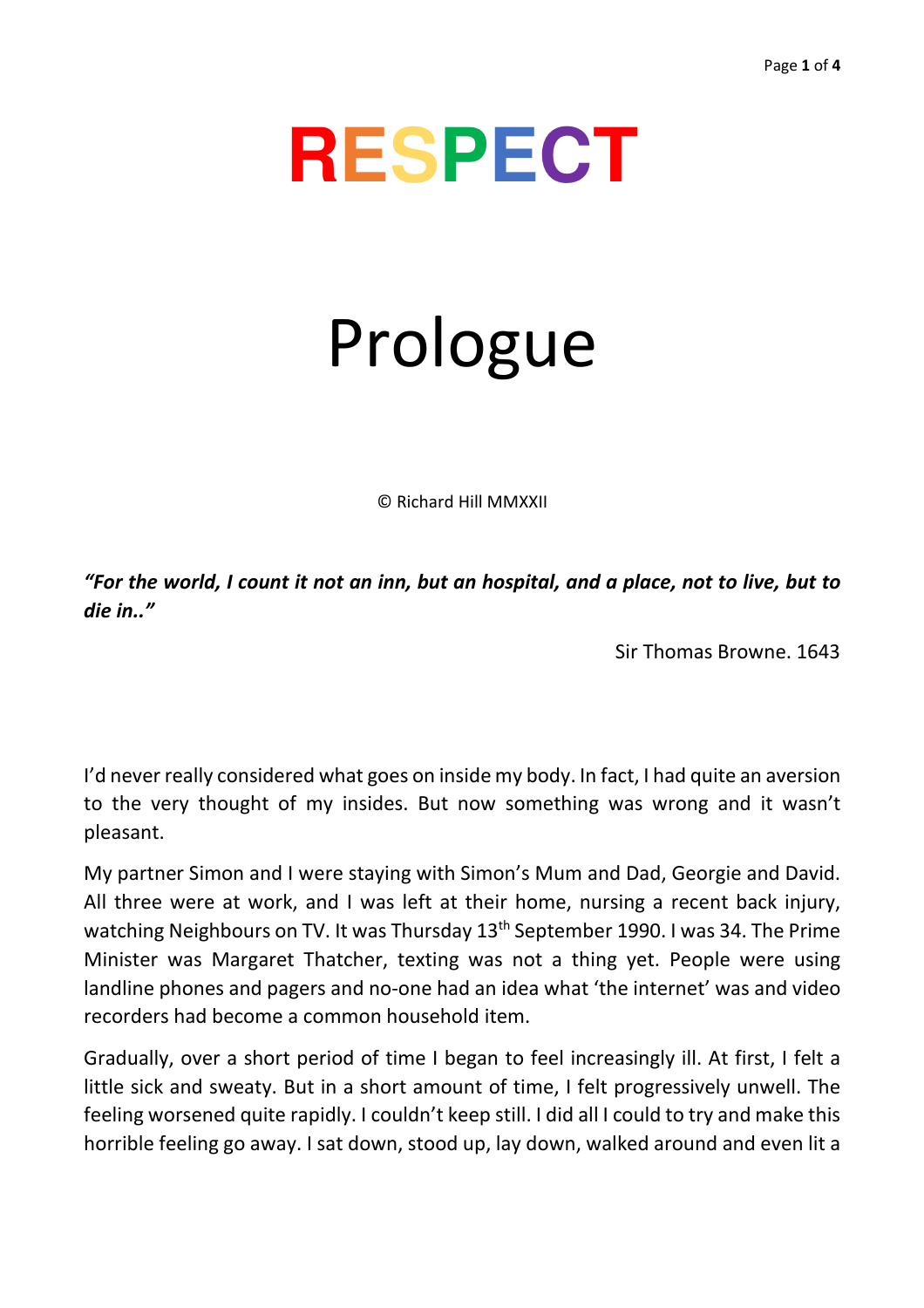## **RESPECT**

## Prologue

© Richard Hill MMXXII

*"For the world, I count it not an inn, but an hospital, and a place, not to live, but to die in.."* 

Sir Thomas Browne. 1643

I'd never really considered what goes on inside my body. In fact, I had quite an aversion to the very thought of my insides. But now something was wrong and it wasn't pleasant.

My partner Simon and I were staying with Simon's Mum and Dad, Georgie and David. All three were at work, and I was left at their home, nursing a recent back injury, watching Neighbours on TV. It was Thursday 13<sup>th</sup> September 1990. I was 34. The Prime Minister was Margaret Thatcher, texting was not a thing yet. People were using landline phones and pagers and no-one had an idea what 'the internet' was and video recorders had become a common household item.

Gradually, over a short period of time I began to feel increasingly ill. At first, I felt a little sick and sweaty. But in a short amount of time, I felt progressively unwell. The feeling worsened quite rapidly. I couldn't keep still. I did all I could to try and make this horrible feeling go away. I sat down, stood up, lay down, walked around and even lit a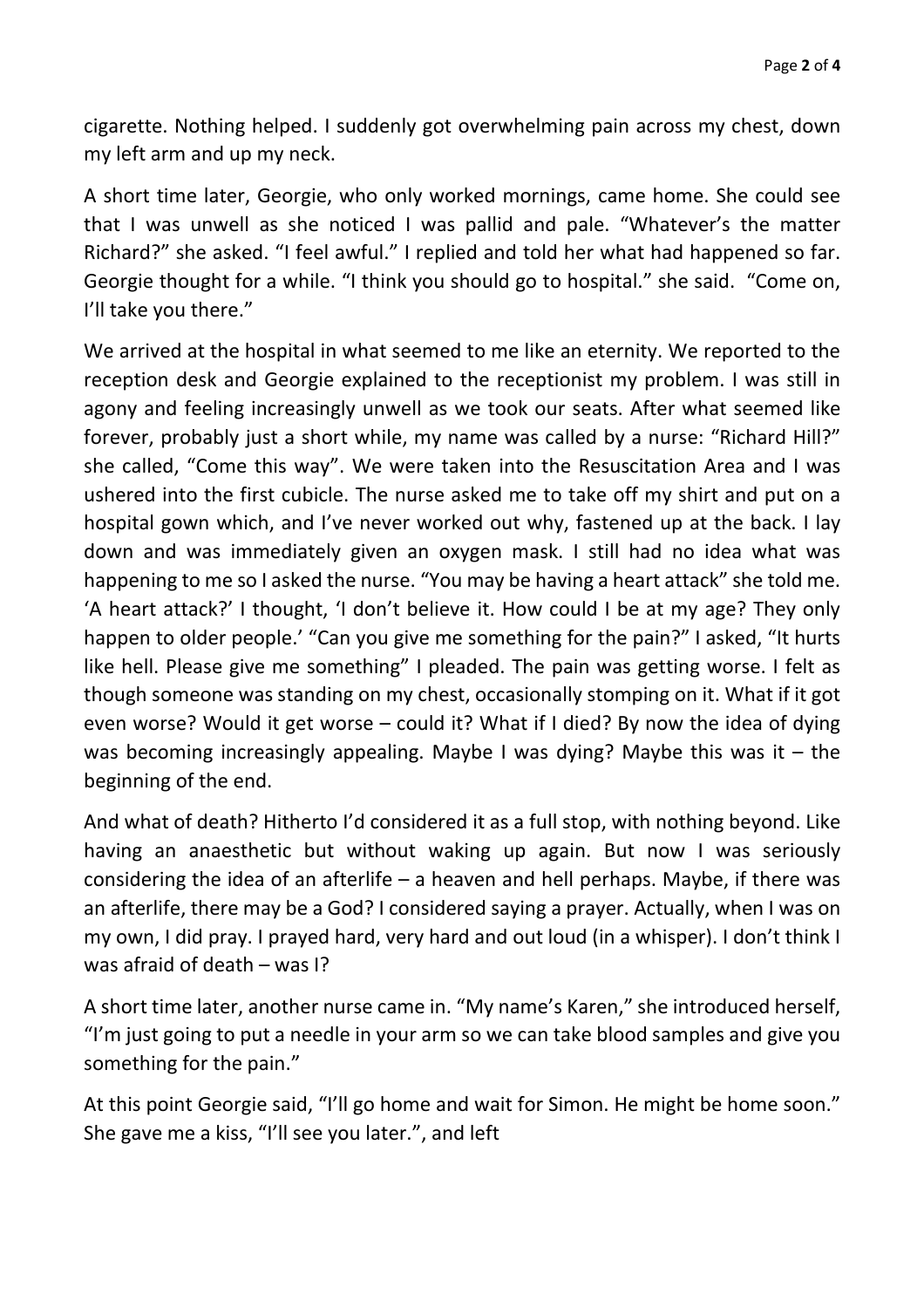cigarette. Nothing helped. I suddenly got overwhelming pain across my chest, down my left arm and up my neck.

A short time later, Georgie, who only worked mornings, came home. She could see that I was unwell as she noticed I was pallid and pale. "Whatever's the matter Richard?" she asked. "I feel awful." I replied and told her what had happened so far. Georgie thought for a while. "I think you should go to hospital." she said. "Come on, I'll take you there."

We arrived at the hospital in what seemed to me like an eternity. We reported to the reception desk and Georgie explained to the receptionist my problem. I was still in agony and feeling increasingly unwell as we took our seats. After what seemed like forever, probably just a short while, my name was called by a nurse: "Richard Hill?" she called, "Come this way". We were taken into the Resuscitation Area and I was ushered into the first cubicle. The nurse asked me to take off my shirt and put on a hospital gown which, and I've never worked out why, fastened up at the back. I lay down and was immediately given an oxygen mask. I still had no idea what was happening to me so I asked the nurse. "You may be having a heart attack" she told me. 'A heart attack?' I thought, 'I don't believe it. How could I be at my age? They only happen to older people.' "Can you give me something for the pain?" I asked, "It hurts like hell. Please give me something" I pleaded. The pain was getting worse. I felt as though someone was standing on my chest, occasionally stomping on it. What if it got even worse? Would it get worse – could it? What if I died? By now the idea of dying was becoming increasingly appealing. Maybe I was dying? Maybe this was it  $-$  the beginning of the end.

And what of death? Hitherto I'd considered it as a full stop, with nothing beyond. Like having an anaesthetic but without waking up again. But now I was seriously considering the idea of an afterlife – a heaven and hell perhaps. Maybe, if there was an afterlife, there may be a God? I considered saying a prayer. Actually, when I was on my own, I did pray. I prayed hard, very hard and out loud (in a whisper). I don't think I was afraid of death – was I?

A short time later, another nurse came in. "My name's Karen," she introduced herself, "I'm just going to put a needle in your arm so we can take blood samples and give you something for the pain."

At this point Georgie said, "I'll go home and wait for Simon. He might be home soon." She gave me a kiss, "I'll see you later.", and left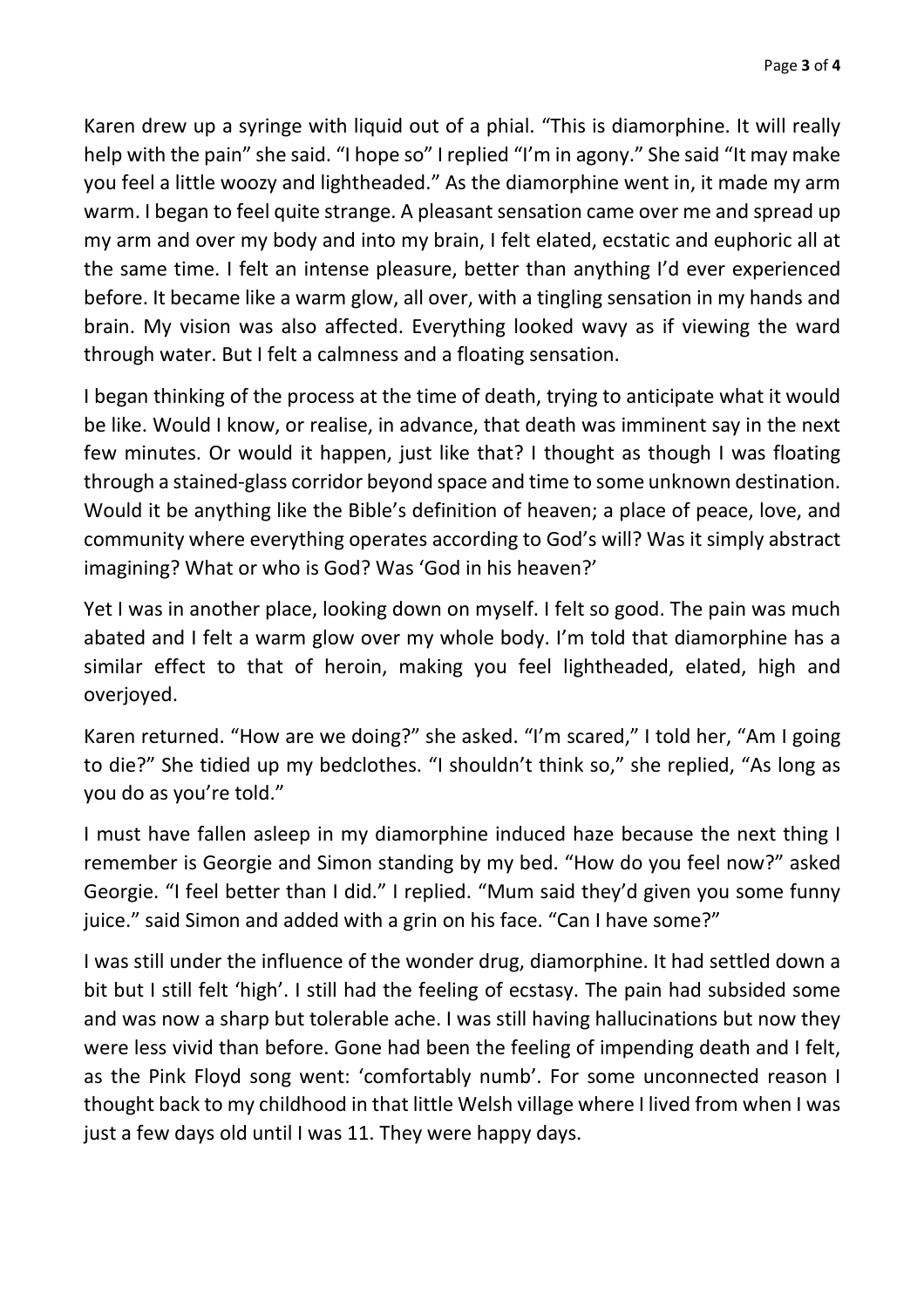Page **3** of **4**

Karen drew up a syringe with liquid out of a phial. "This is diamorphine. It will really help with the pain" she said. "I hope so" I replied "I'm in agony." She said "It may make you feel a little woozy and lightheaded." As the diamorphine went in, it made my arm warm. I began to feel quite strange. A pleasant sensation came over me and spread up my arm and over my body and into my brain, I felt elated, ecstatic and euphoric all at the same time. I felt an intense pleasure, better than anything I'd ever experienced before. It became like a warm glow, all over, with a tingling sensation in my hands and brain. My vision was also affected. Everything looked wavy as if viewing the ward through water. But I felt a calmness and a floating sensation.

I began thinking of the process at the time of death, trying to anticipate what it would be like. Would I know, or realise, in advance, that death was imminent say in the next few minutes. Or would it happen, just like that? I thought as though I was floating through a stained-glass corridor beyond space and time to some unknown destination. Would it be anything like the Bible's definition of heaven; a place of peace, love, and community where everything operates according to God's will? Was it simply abstract imagining? What or who is God? Was 'God in his heaven?'

Yet I was in another place, looking down on myself. I felt so good. The pain was much abated and I felt a warm glow over my whole body. I'm told that diamorphine has a similar effect to that of heroin, making you feel lightheaded, elated, high and overjoyed.

Karen returned. "How are we doing?" she asked. "I'm scared," I told her, "Am I going to die?" She tidied up my bedclothes. "I shouldn't think so," she replied, "As long as you do as you're told."

I must have fallen asleep in my diamorphine induced haze because the next thing I remember is Georgie and Simon standing by my bed. "How do you feel now?" asked Georgie. "I feel better than I did." I replied. "Mum said they'd given you some funny juice." said Simon and added with a grin on his face. "Can I have some?"

I was still under the influence of the wonder drug, diamorphine. It had settled down a bit but I still felt 'high'. I still had the feeling of ecstasy. The pain had subsided some and was now a sharp but tolerable ache. I was still having hallucinations but now they were less vivid than before. Gone had been the feeling of impending death and I felt, as the Pink Floyd song went: 'comfortably numb'. For some unconnected reason I thought back to my childhood in that little Welsh village where I lived from when I was just a few days old until I was 11. They were happy days.